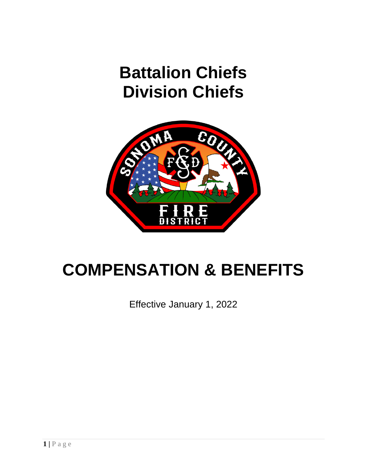# **Battalion Chiefs Division Chiefs**



# **COMPENSATION & BENEFITS**

Effective January 1, 2022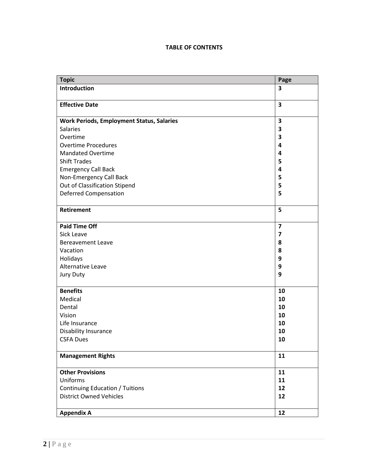# **TABLE OF CONTENTS**

| <b>Topic</b>                                     | Page                    |
|--------------------------------------------------|-------------------------|
| Introduction                                     | 3                       |
|                                                  |                         |
| <b>Effective Date</b>                            | $\overline{\mathbf{3}}$ |
|                                                  |                         |
| <b>Work Periods, Employment Status, Salaries</b> | $\overline{\mathbf{3}}$ |
| <b>Salaries</b>                                  | 3                       |
| Overtime                                         | 3                       |
| <b>Overtime Procedures</b>                       | 4                       |
| <b>Mandated Overtime</b>                         | 4                       |
| <b>Shift Trades</b>                              | 5                       |
| <b>Emergency Call Back</b>                       | 4                       |
| Non-Emergency Call Back                          | 5                       |
| Out of Classification Stipend                    | 5                       |
| <b>Deferred Compensation</b>                     | 5                       |
|                                                  |                         |
| <b>Retirement</b>                                | 5                       |
|                                                  |                         |
| <b>Paid Time Off</b>                             | $\overline{\mathbf{z}}$ |
| <b>Sick Leave</b>                                | $\overline{\mathbf{z}}$ |
| <b>Bereavement Leave</b>                         | 8                       |
| Vacation                                         | 8                       |
| Holidays                                         | 9                       |
| Alternative Leave                                | 9                       |
| <b>Jury Duty</b>                                 | 9                       |
|                                                  |                         |
| <b>Benefits</b>                                  | 10                      |
| Medical                                          | 10                      |
| Dental                                           | 10                      |
| Vision                                           | 10                      |
| Life Insurance                                   | 10                      |
| Disability Insurance                             | 10                      |
| <b>CSFA Dues</b>                                 | 10                      |
|                                                  |                         |
| <b>Management Rights</b>                         | 11                      |
|                                                  |                         |
| <b>Other Provisions</b>                          | 11                      |
| Uniforms                                         | 11                      |
| <b>Continuing Education / Tuitions</b>           | 12                      |
| <b>District Owned Vehicles</b>                   | 12                      |
|                                                  |                         |
| <b>Appendix A</b>                                | 12                      |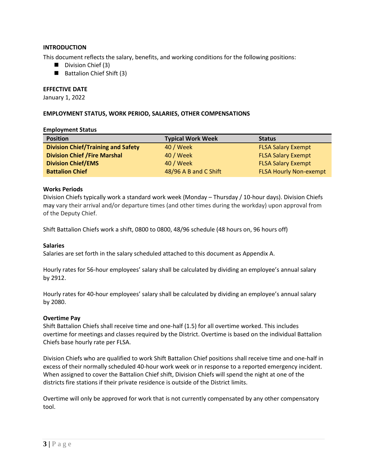# **INTRODUCTION**

This document reflects the salary, benefits, and working conditions for the following positions:

- Division Chief (3)
- Battalion Chief Shift (3)

#### **EFFECTIVE DATE**

January 1, 2022

#### **EMPLOYMENT STATUS, WORK PERIOD, SALARIES, OTHER COMPENSATIONS**

#### **Employment Status**

| <b>Position</b>                           | <b>Typical Work Week</b> | <b>Status</b>                 |
|-------------------------------------------|--------------------------|-------------------------------|
| <b>Division Chief/Training and Safety</b> | 40 / Week                | <b>FLSA Salary Exempt</b>     |
| <b>Division Chief / Fire Marshal</b>      | 40 / Week                | <b>FLSA Salary Exempt</b>     |
| <b>Division Chief/EMS</b>                 | 40 / Week                | <b>FLSA Salary Exempt</b>     |
| <b>Battalion Chief</b>                    | 48/96 A B and C Shift    | <b>FLSA Hourly Non-exempt</b> |

#### **Works Periods**

Division Chiefs typically work a standard work week (Monday – Thursday / 10-hour days). Division Chiefs may vary their arrival and/or departure times (and other times during the workday) upon approval from of the Deputy Chief.

Shift Battalion Chiefs work a shift, 0800 to 0800, 48/96 schedule (48 hours on, 96 hours off)

#### **Salaries**

Salaries are set forth in the salary scheduled attached to this document as Appendix A.

Hourly rates for 56-hour employees' salary shall be calculated by dividing an employee's annual salary by 2912.

Hourly rates for 40-hour employees' salary shall be calculated by dividing an employee's annual salary by 2080.

#### **Overtime Pay**

Shift Battalion Chiefs shall receive time and one-half (1.5) for all overtime worked. This includes overtime for meetings and classes required by the District. Overtime is based on the individual Battalion Chiefs base hourly rate per FLSA.

Division Chiefs who are qualified to work Shift Battalion Chief positions shall receive time and one-half in excess of their normally scheduled 40-hour work week or in response to a reported emergency incident. When assigned to cover the Battalion Chief shift, Division Chiefs will spend the night at one of the districts fire stations if their private residence is outside of the District limits.

Overtime will only be approved for work that is not currently compensated by any other compensatory tool.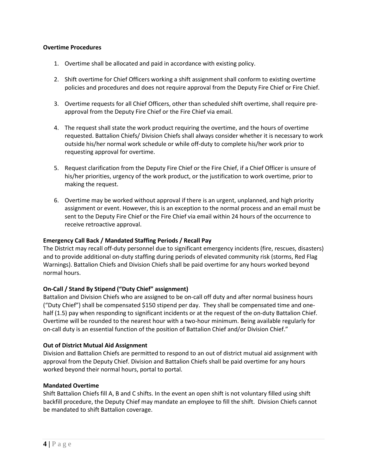# **Overtime Procedures**

- 1. Overtime shall be allocated and paid in accordance with existing policy.
- 2. Shift overtime for Chief Officers working a shift assignment shall conform to existing overtime policies and procedures and does not require approval from the Deputy Fire Chief or Fire Chief.
- 3. Overtime requests for all Chief Officers, other than scheduled shift overtime, shall require preapproval from the Deputy Fire Chief or the Fire Chief via email.
- 4. The request shall state the work product requiring the overtime, and the hours of overtime requested. Battalion Chiefs/ Division Chiefs shall always consider whether it is necessary to work outside his/her normal work schedule or while off-duty to complete his/her work prior to requesting approval for overtime.
- 5. Request clarification from the Deputy Fire Chief or the Fire Chief, if a Chief Officer is unsure of his/her priorities, urgency of the work product, or the justification to work overtime, prior to making the request.
- 6. Overtime may be worked without approval if there is an urgent, unplanned, and high priority assignment or event. However, this is an exception to the normal process and an email must be sent to the Deputy Fire Chief or the Fire Chief via email within 24 hours of the occurrence to receive retroactive approval.

# **Emergency Call Back / Mandated Staffing Periods / Recall Pay**

The District may recall off-duty personnel due to significant emergency incidents (fire, rescues, disasters) and to provide additional on-duty staffing during periods of elevated community risk (storms, Red Flag Warnings). Battalion Chiefs and Division Chiefs shall be paid overtime for any hours worked beyond normal hours.

# **On-Call / Stand By Stipend ("Duty Chief" assignment)**

Battalion and Division Chiefs who are assigned to be on-call off duty and after normal business hours ("Duty Chief") shall be compensated \$150 stipend per day. They shall be compensated time and onehalf (1.5) pay when responding to significant incidents or at the request of the on-duty Battalion Chief. Overtime will be rounded to the nearest hour with a two-hour minimum. Being available regularly for on-call duty is an essential function of the position of Battalion Chief and/or Division Chief."

# **Out of District Mutual Aid Assignment**

Division and Battalion Chiefs are permitted to respond to an out of district mutual aid assignment with approval from the Deputy Chief. Division and Battalion Chiefs shall be paid overtime for any hours worked beyond their normal hours, portal to portal.

# **Mandated Overtime**

Shift Battalion Chiefs fill A, B and C shifts. In the event an open shift is not voluntary filled using shift backfill procedure, the Deputy Chief may mandate an employee to fill the shift. Division Chiefs cannot be mandated to shift Battalion coverage.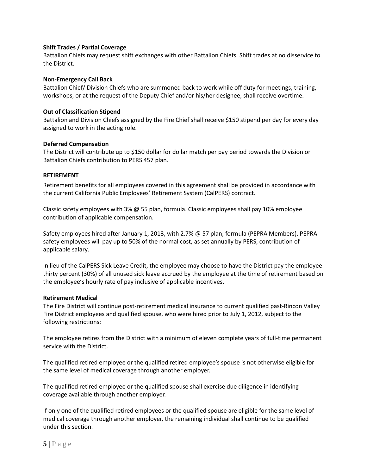# **Shift Trades / Partial Coverage**

Battalion Chiefs may request shift exchanges with other Battalion Chiefs. Shift trades at no disservice to the District.

# **Non-Emergency Call Back**

Battalion Chief/ Division Chiefs who are summoned back to work while off duty for meetings, training, workshops, or at the request of the Deputy Chief and/or his/her designee, shall receive overtime.

#### **Out of Classification Stipend**

Battalion and Division Chiefs assigned by the Fire Chief shall receive \$150 stipend per day for every day assigned to work in the acting role.

# **Deferred Compensation**

The District will contribute up to \$150 dollar for dollar match per pay period towards the Division or Battalion Chiefs contribution to PERS 457 plan.

#### **RETIREMENT**

Retirement benefits for all employees covered in this agreement shall be provided in accordance with the current California Public Employees' Retirement System (CalPERS) contract.

Classic safety employees with 3% @ 55 plan, formula. Classic employees shall pay 10% employee contribution of applicable compensation.

Safety employees hired after January 1, 2013, with 2.7% @ 57 plan, formula (PEPRA Members). PEPRA safety employees will pay up to 50% of the normal cost, as set annually by PERS, contribution of applicable salary.

In lieu of the CalPERS Sick Leave Credit, the employee may choose to have the District pay the employee thirty percent (30%) of all unused sick leave accrued by the employee at the time of retirement based on the employee's hourly rate of pay inclusive of applicable incentives.

#### **Retirement Medical**

The Fire District will continue post-retirement medical insurance to current qualified past-Rincon Valley Fire District employees and qualified spouse, who were hired prior to July 1, 2012, subject to the following restrictions:

The employee retires from the District with a minimum of eleven complete years of full-time permanent service with the District.

The qualified retired employee or the qualified retired employee's spouse is not otherwise eligible for the same level of medical coverage through another employer.

The qualified retired employee or the qualified spouse shall exercise due diligence in identifying coverage available through another employer.

If only one of the qualified retired employees or the qualified spouse are eligible for the same level of medical coverage through another employer, the remaining individual shall continue to be qualified under this section.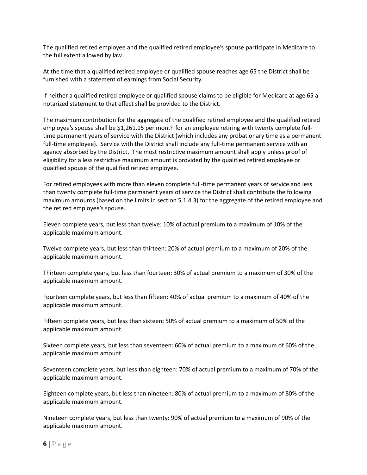The qualified retired employee and the qualified retired employee's spouse participate in Medicare to the full extent allowed by law.

At the time that a qualified retired employee or qualified spouse reaches age 65 the District shall be furnished with a statement of earnings from Social Security.

If neither a qualified retired employee or qualified spouse claims to be eligible for Medicare at age 65 a notarized statement to that effect shall be provided to the District.

The maximum contribution for the aggregate of the qualified retired employee and the qualified retired employee's spouse shall be \$1,261.15 per month for an employee retiring with twenty complete fulltime permanent years of service with the District (which includes any probationary time as a permanent full-time employee). Service with the District shall include any full-time permanent service with an agency absorbed by the District. The most restrictive maximum amount shall apply unless proof of eligibility for a less restrictive maximum amount is provided by the qualified retired employee or qualified spouse of the qualified retired employee.

For retired employees with more than eleven complete full-time permanent years of service and less than twenty complete full-time permanent years of service the District shall contribute the following maximum amounts (based on the limits in section 5.1.4.3) for the aggregate of the retired employee and the retired employee's spouse.

Eleven complete years, but less than twelve: 10% of actual premium to a maximum of 10% of the applicable maximum amount.

Twelve complete years, but less than thirteen: 20% of actual premium to a maximum of 20% of the applicable maximum amount.

Thirteen complete years, but less than fourteen: 30% of actual premium to a maximum of 30% of the applicable maximum amount.

Fourteen complete years, but less than fifteen: 40% of actual premium to a maximum of 40% of the applicable maximum amount.

Fifteen complete years, but less than sixteen: 50% of actual premium to a maximum of 50% of the applicable maximum amount.

Sixteen complete years, but less than seventeen: 60% of actual premium to a maximum of 60% of the applicable maximum amount.

Seventeen complete years, but less than eighteen: 70% of actual premium to a maximum of 70% of the applicable maximum amount.

Eighteen complete years, but less than nineteen: 80% of actual premium to a maximum of 80% of the applicable maximum amount.

Nineteen complete years, but less than twenty: 90% of actual premium to a maximum of 90% of the applicable maximum amount.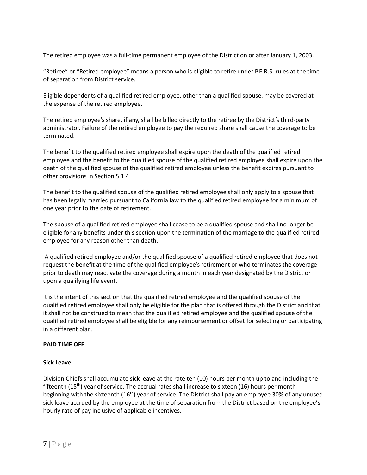The retired employee was a full-time permanent employee of the District on or after January 1, 2003.

"Retiree" or "Retired employee" means a person who is eligible to retire under P.E.R.S. rules at the time of separation from District service.

Eligible dependents of a qualified retired employee, other than a qualified spouse, may be covered at the expense of the retired employee.

The retired employee's share, if any, shall be billed directly to the retiree by the District's third-party administrator. Failure of the retired employee to pay the required share shall cause the coverage to be terminated.

The benefit to the qualified retired employee shall expire upon the death of the qualified retired employee and the benefit to the qualified spouse of the qualified retired employee shall expire upon the death of the qualified spouse of the qualified retired employee unless the benefit expires pursuant to other provisions in Section 5.1.4.

The benefit to the qualified spouse of the qualified retired employee shall only apply to a spouse that has been legally married pursuant to California law to the qualified retired employee for a minimum of one year prior to the date of retirement.

The spouse of a qualified retired employee shall cease to be a qualified spouse and shall no longer be eligible for any benefits under this section upon the termination of the marriage to the qualified retired employee for any reason other than death.

A qualified retired employee and/or the qualified spouse of a qualified retired employee that does not request the benefit at the time of the qualified employee's retirement or who terminates the coverage prior to death may reactivate the coverage during a month in each year designated by the District or upon a qualifying life event.

It is the intent of this section that the qualified retired employee and the qualified spouse of the qualified retired employee shall only be eligible for the plan that is offered through the District and that it shall not be construed to mean that the qualified retired employee and the qualified spouse of the qualified retired employee shall be eligible for any reimbursement or offset for selecting or participating in a different plan.

# **PAID TIME OFF**

# **Sick Leave**

Division Chiefs shall accumulate sick leave at the rate ten (10) hours per month up to and including the fifteenth  $(15<sup>th</sup>)$  year of service. The accrual rates shall increase to sixteen (16) hours per month beginning with the sixteenth (16th) year of service. The District shall pay an employee 30% of any unused sick leave accrued by the employee at the time of separation from the District based on the employee's hourly rate of pay inclusive of applicable incentives.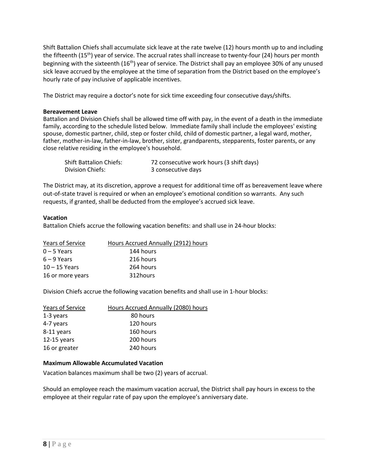Shift Battalion Chiefs shall accumulate sick leave at the rate twelve (12) hours month up to and including the fifteenth (15<sup>th</sup>) year of service. The accrual rates shall increase to twenty-four (24) hours per month beginning with the sixteenth  $(16<sup>th</sup>)$  year of service. The District shall pay an employee 30% of any unused sick leave accrued by the employee at the time of separation from the District based on the employee's hourly rate of pay inclusive of applicable incentives.

The District may require a doctor's note for sick time exceeding four consecutive days/shifts.

# **Bereavement Leave**

Battalion and Division Chiefs shall be allowed time off with pay, in the event of a death in the immediate family, according to the schedule listed below. Immediate family shall include the employees' existing spouse, domestic partner, child, step or foster child, child of domestic partner, a legal ward, mother, father, mother-in-law, father-in-law, brother, sister, grandparents, stepparents, foster parents, or any close relative residing in the employee's household.

| <b>Shift Battalion Chiefs:</b> | 72 consecutive work hours (3 shift days) |
|--------------------------------|------------------------------------------|
| Division Chiefs:               | 3 consecutive days                       |

The District may, at its discretion, approve a request for additional time off as bereavement leave where out-of-state travel is required or when an employee's emotional condition so warrants. Any such requests, if granted, shall be deducted from the employee's accrued sick leave.

# **Vacation**

Battalion Chiefs accrue the following vacation benefits: and shall use in 24-hour blocks:

| Years of Service | Hours Accrued Annually (2912) hours |
|------------------|-------------------------------------|
| $0 - 5$ Years    | 144 hours                           |
| $6 - 9$ Years    | 216 hours                           |
| $10 - 15$ Years  | 264 hours                           |
| 16 or more years | 312hours                            |

Division Chiefs accrue the following vacation benefits and shall use in 1-hour blocks:

| Years of Service | Hours Accrued Annually (2080) hours |
|------------------|-------------------------------------|
| 1-3 years        | 80 hours                            |
| 4-7 years        | 120 hours                           |
| 8-11 years       | 160 hours                           |
| $12-15$ years    | 200 hours                           |
| 16 or greater    | 240 hours                           |

#### **Maximum Allowable Accumulated Vacation**

Vacation balances maximum shall be two (2) years of accrual.

Should an employee reach the maximum vacation accrual, the District shall pay hours in excess to the employee at their regular rate of pay upon the employee's anniversary date.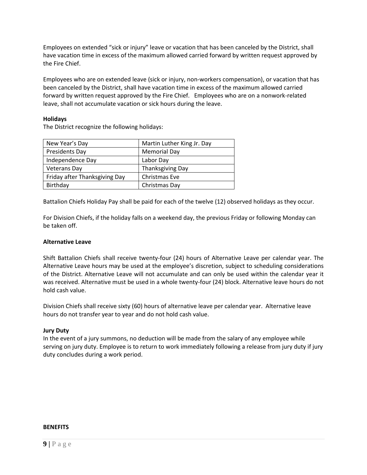Employees on extended "sick or injury" leave or vacation that has been canceled by the District, shall have vacation time in excess of the maximum allowed carried forward by written request approved by the Fire Chief.

Employees who are on extended leave (sick or injury, non-workers compensation), or vacation that has been canceled by the District, shall have vacation time in excess of the maximum allowed carried forward by written request approved by the Fire Chief. Employees who are on a nonwork-related leave, shall not accumulate vacation or sick hours during the leave.

# **Holidays**

The District recognize the following holidays:

| New Year's Day                | Martin Luther King Jr. Day |
|-------------------------------|----------------------------|
| <b>Presidents Day</b>         | <b>Memorial Day</b>        |
| Independence Day              | Labor Day                  |
| <b>Veterans Day</b>           | <b>Thanksgiving Day</b>    |
| Friday after Thanksgiving Day | Christmas Eve              |
| Birthday                      | Christmas Day              |

Battalion Chiefs Holiday Pay shall be paid for each of the twelve (12) observed holidays as they occur.

For Division Chiefs, if the holiday falls on a weekend day, the previous Friday or following Monday can be taken off.

# **Alternative Leave**

Shift Battalion Chiefs shall receive twenty-four (24) hours of Alternative Leave per calendar year. The Alternative Leave hours may be used at the employee's discretion, subject to scheduling considerations of the District. Alternative Leave will not accumulate and can only be used within the calendar year it was received. Alternative must be used in a whole twenty-four (24) block. Alternative leave hours do not hold cash value.

Division Chiefs shall receive sixty (60) hours of alternative leave per calendar year. Alternative leave hours do not transfer year to year and do not hold cash value.

# **Jury Duty**

In the event of a jury summons, no deduction will be made from the salary of any employee while serving on jury duty. Employee is to return to work immediately following a release from jury duty if jury duty concludes during a work period.

#### **BENEFITS**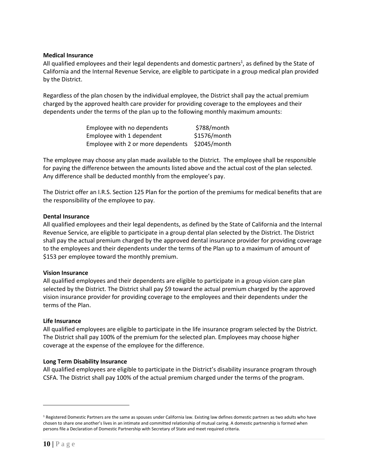# **Medical Insurance**

All qualified employees and their legal dependents and domestic partners<sup>1</sup>, as defined by the State of California and the Internal Revenue Service, are eligible to participate in a group medical plan provided by the District.

Regardless of the plan chosen by the individual employee, the District shall pay the actual premium charged by the approved health care provider for providing coverage to the employees and their dependents under the terms of the plan up to the following monthly maximum amounts:

| Employee with no dependents        | \$788/month  |
|------------------------------------|--------------|
| Employee with 1 dependent          | \$1576/month |
| Employee with 2 or more dependents | \$2045/month |

The employee may choose any plan made available to the District. The employee shall be responsible for paying the difference between the amounts listed above and the actual cost of the plan selected. Any difference shall be deducted monthly from the employee's pay.

The District offer an I.R.S. Section 125 Plan for the portion of the premiums for medical benefits that are the responsibility of the employee to pay.

#### **Dental Insurance**

All qualified employees and their legal dependents, as defined by the State of California and the Internal Revenue Service, are eligible to participate in a group dental plan selected by the District. The District shall pay the actual premium charged by the approved dental insurance provider for providing coverage to the employees and their dependents under the terms of the Plan up to a maximum of amount of \$153 per employee toward the monthly premium.

#### **Vision Insurance**

All qualified employees and their dependents are eligible to participate in a group vision care plan selected by the District. The District shall pay \$9 toward the actual premium charged by the approved vision insurance provider for providing coverage to the employees and their dependents under the terms of the Plan.

#### **Life Insurance**

All qualified employees are eligible to participate in the life insurance program selected by the District. The District shall pay 100% of the premium for the selected plan. Employees may choose higher coverage at the expense of the employee for the difference.

# **Long Term Disability Insurance**

All qualified employees are eligible to participate in the District's disability insurance program through CSFA. The District shall pay 100% of the actual premium charged under the terms of the program.

<sup>&</sup>lt;sup>1</sup> Registered Domestic Partners are the same as spouses under California law. Existing law defines domestic partners as two adults who have chosen to share one another's lives in an intimate and committed relationship of mutual caring. A domestic partnership is formed when persons file a Declaration of Domestic Partnership with Secretary of State and meet required criteria.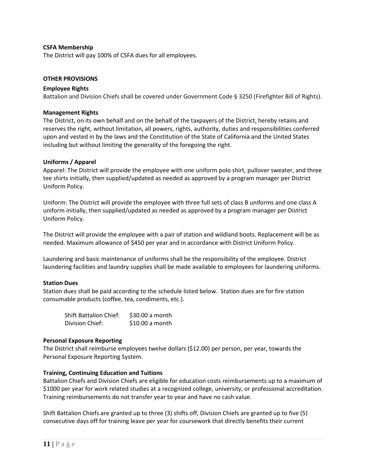# **CSFA Membership**

The District will pay 100% of CSFA dues for all employees.

#### **OTHER PROVISIONS**

#### **Employee Rights**

Battalion and Division Chiefs shall be covered under Government Code § 3250 (Firefighter Bill of Rights).

#### **Management Rights**

The District, on its own behalf and on the behalf of the taxpayers of the District, hereby retains and reserves the right, without limitation, all powers, rights, authority, duties and responsibilities conferred upon and vested in by the laws and the Constitution of the State of California and the United States including but without limiting the generality of the foregoing the right.

#### **Uniforms / Apparel**

Apparel: The District will provide the employee with one uniform polo shirt, pullover sweater, and three tee shirts initially, then supplied/updated as needed as approved by a program manager per District Uniform Policy.

Uniform: The District will provide the employee with three full sets of class B uniforms and one class A uniform initially, then supplied/updated as needed as approved by a program manager per District Uniform Policy.

The District will provide the employee with a pair of station and wildland boots. Replacement will be as needed. Maximum allowance of \$450 per year and in accordance with District Uniform Policy.

Laundering and basic maintenance of uniforms shall be the responsibility of the employee. District laundering facilities and laundry supplies shall be made available to employees for laundering uniforms.

#### **Station Dues**

Station dues shall be paid according to the schedule listed below. Station dues are for fire station consumable products (coffee, tea, condiments, etc.).

| <b>Shift Battalion Chief:</b> | \$30.00 a month |
|-------------------------------|-----------------|
| Division Chief:               | \$10.00 a month |

#### **Personal Exposure Reporting**

The District shall reimburse employees twelve dollars (\$12.00) per person, per year, towards the Personal Exposure Reporting System.

#### **Training, Continuing Education and Tuitions**

Battalion Chiefs and Division Chiefs are eligible for education costs reimbursements up to a maximum of \$1000 per year for work related studies at a recognized college, university, or professional accreditation. Training reimbursements do not transfer year to year and have no cash value.

Shift Battalion Chiefs are granted up to three (3) shifts off, Division Chiefs are granted up to five (5) consecutive days off for training leave per year for coursework that directly benefits their current